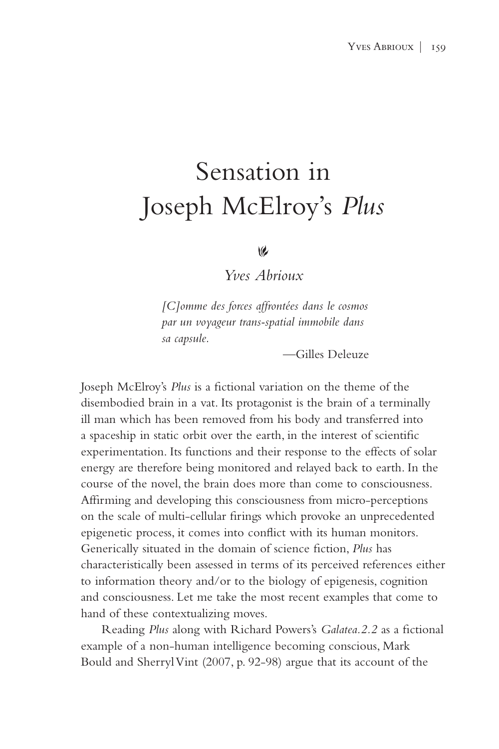## Sensation in Joseph McElroy's *Plus*

## $\omega$

*Yves Abrioux*

*[C]omme des forces affrontées dans le cosmos par un voyageur trans-spatial immobile dans sa capsule.*

—Gilles Deleuze

Joseph McElroy's *Plus* is a fictional variation on the theme of the disembodied brain in a vat. Its protagonist is the brain of a terminally ill man which has been removed from his body and transferred into a spaceship in static orbit over the earth, in the interest of scientific experimentation. Its functions and their response to the effects of solar energy are therefore being monitored and relayed back to earth. In the course of the novel, the brain does more than come to consciousness. Affirming and developing this consciousness from micro-perceptions on the scale of multi-cellular firings which provoke an unprecedented epigenetic process, it comes into conflict with its human monitors. Generically situated in the domain of science fiction, *Plus* has characteristically been assessed in terms of its perceived references either to information theory and/or to the biology of epigenesis, cognition and consciousness. Let me take the most recent examples that come to hand of these contextualizing moves.

Reading *Plus* along with Richard Powers's *Galatea.2.2* as a fictional example of a non-human intelligence becoming conscious, Mark Bould and Sherryl Vint (2007, p. 92-98) argue that its account of the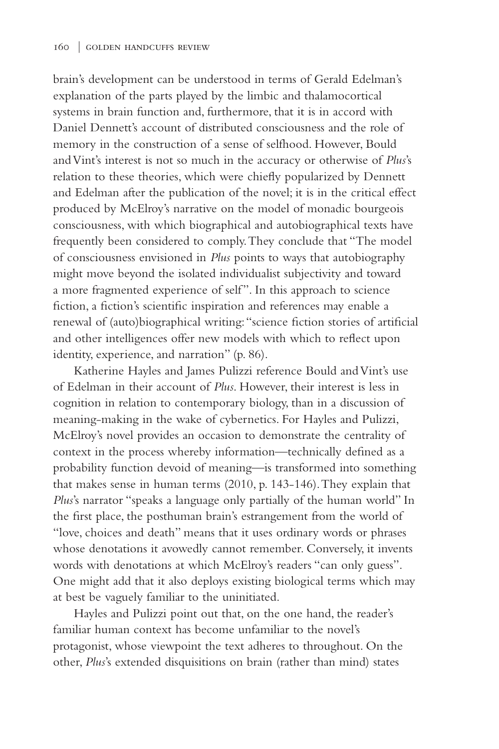brain's development can be understood in terms of Gerald Edelman's explanation of the parts played by the limbic and thalamocortical systems in brain function and, furthermore, that it is in accord with Daniel Dennett's account of distributed consciousness and the role of memory in the construction of a sense of selfhood. However, Bould and Vint's interest is not so much in the accuracy or otherwise of *Plus*'s relation to these theories, which were chiefly popularized by Dennett and Edelman after the publication of the novel; it is in the critical effect produced by McElroy's narrative on the model of monadic bourgeois consciousness, with which biographical and autobiographical texts have frequently been considered to comply. They conclude that "The model of consciousness envisioned in *Plus* points to ways that autobiography might move beyond the isolated individualist subjectivity and toward a more fragmented experience of self". In this approach to science fiction, a fiction's scientific inspiration and references may enable a renewal of (auto)biographical writing: "science fiction stories of artificial and other intelligences offer new models with which to reflect upon identity, experience, and narration" (p. 86).

Katherine Hayles and James Pulizzi reference Bould and Vint's use of Edelman in their account of *Plus*. However, their interest is less in cognition in relation to contemporary biology, than in a discussion of meaning-making in the wake of cybernetics. For Hayles and Pulizzi, McElroy's novel provides an occasion to demonstrate the centrality of context in the process whereby information—technically defined as a probability function devoid of meaning—is transformed into something that makes sense in human terms (2010, p. 143-146). They explain that *Plus*'s narrator "speaks a language only partially of the human world" In the first place, the posthuman brain's estrangement from the world of "love, choices and death" means that it uses ordinary words or phrases whose denotations it avowedly cannot remember. Conversely, it invents words with denotations at which McElroy's readers "can only guess". One might add that it also deploys existing biological terms which may at best be vaguely familiar to the uninitiated.

Hayles and Pulizzi point out that, on the one hand, the reader's familiar human context has become unfamiliar to the novel's protagonist, whose viewpoint the text adheres to throughout. On the other, *Plus*'s extended disquisitions on brain (rather than mind) states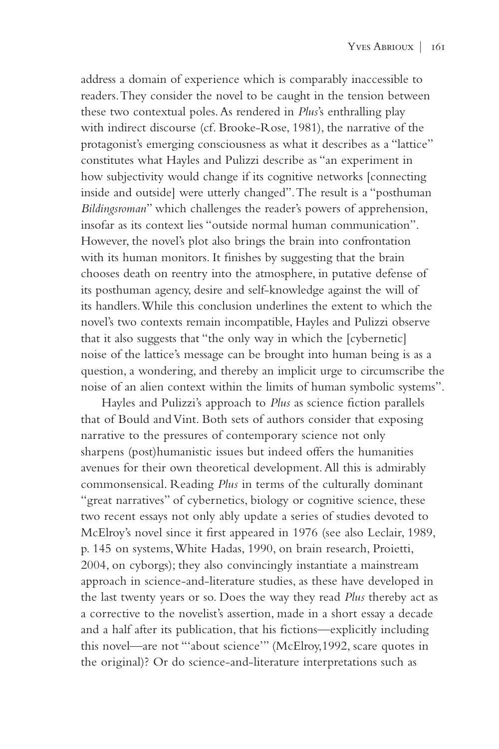address a domain of experience which is comparably inaccessible to readers. They consider the novel to be caught in the tension between these two contextual poles. As rendered in *Plus*'s enthralling play with indirect discourse (cf. Brooke-Rose, 1981), the narrative of the protagonist's emerging consciousness as what it describes as a "lattice" constitutes what Hayles and Pulizzi describe as "an experiment in how subjectivity would change if its cognitive networks [connecting inside and outside] were utterly changed". The result is a "posthuman *Bildingsroman*" which challenges the reader's powers of apprehension, insofar as its context lies "outside normal human communication". However, the novel's plot also brings the brain into confrontation with its human monitors. It finishes by suggesting that the brain chooses death on reentry into the atmosphere, in putative defense of its posthuman agency, desire and self-knowledge against the will of its handlers. While this conclusion underlines the extent to which the novel's two contexts remain incompatible, Hayles and Pulizzi observe that it also suggests that "the only way in which the [cybernetic] noise of the lattice's message can be brought into human being is as a question, a wondering, and thereby an implicit urge to circumscribe the noise of an alien context within the limits of human symbolic systems".

Hayles and Pulizzi's approach to *Plus* as science fiction parallels that of Bould and Vint. Both sets of authors consider that exposing narrative to the pressures of contemporary science not only sharpens (post)humanistic issues but indeed offers the humanities avenues for their own theoretical development. All this is admirably commonsensical. Reading *Plus* in terms of the culturally dominant "great narratives" of cybernetics, biology or cognitive science, these two recent essays not only ably update a series of studies devoted to McElroy's novel since it first appeared in 1976 (see also Leclair, 1989, p. 145 on systems, White Hadas, 1990, on brain research, Proietti, 2004, on cyborgs); they also convincingly instantiate a mainstream approach in science-and-literature studies, as these have developed in the last twenty years or so. Does the way they read *Plus* thereby act as a corrective to the novelist's assertion, made in a short essay a decade and a half after its publication, that his fictions—explicitly including this novel—are not "'about science'" (McElroy,1992, scare quotes in the original)? Or do science-and-literature interpretations such as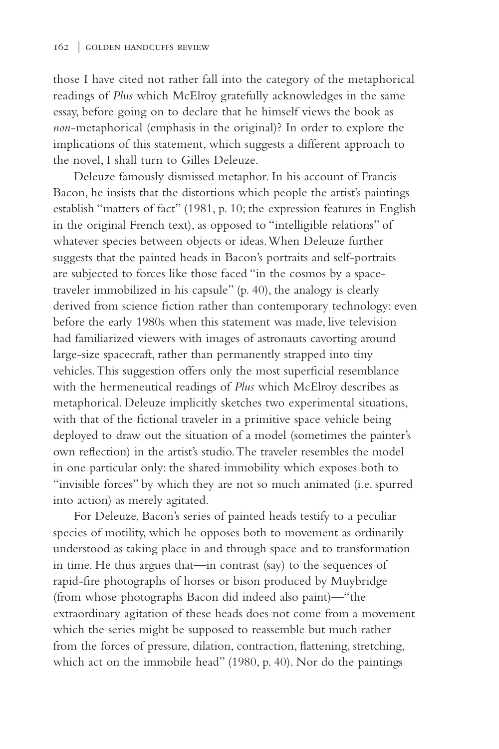those I have cited not rather fall into the category of the metaphorical readings of *Plus* which McElroy gratefully acknowledges in the same essay, before going on to declare that he himself views the book as *non*-metaphorical (emphasis in the original)? In order to explore the implications of this statement, which suggests a different approach to the novel, I shall turn to Gilles Deleuze.

Deleuze famously dismissed metaphor. In his account of Francis Bacon, he insists that the distortions which people the artist's paintings establish "matters of fact" (1981, p. 10; the expression features in English in the original French text), as opposed to "intelligible relations" of whatever species between objects or ideas. When Deleuze further suggests that the painted heads in Bacon's portraits and self-portraits are subjected to forces like those faced "in the cosmos by a spacetraveler immobilized in his capsule" (p. 40), the analogy is clearly derived from science fiction rather than contemporary technology: even before the early 1980s when this statement was made, live television had familiarized viewers with images of astronauts cavorting around large-size spacecraft, rather than permanently strapped into tiny vehicles. This suggestion offers only the most superficial resemblance with the hermeneutical readings of *Plus* which McElroy describes as metaphorical. Deleuze implicitly sketches two experimental situations, with that of the fictional traveler in a primitive space vehicle being deployed to draw out the situation of a model (sometimes the painter's own reflection) in the artist's studio. The traveler resembles the model in one particular only: the shared immobility which exposes both to "invisible forces" by which they are not so much animated (i.e. spurred into action) as merely agitated.

For Deleuze, Bacon's series of painted heads testify to a peculiar species of motility, which he opposes both to movement as ordinarily understood as taking place in and through space and to transformation in time. He thus argues that—in contrast (say) to the sequences of rapid-fire photographs of horses or bison produced by Muybridge (from whose photographs Bacon did indeed also paint)—"the extraordinary agitation of these heads does not come from a movement which the series might be supposed to reassemble but much rather from the forces of pressure, dilation, contraction, flattening, stretching, which act on the immobile head" (1980, p. 40). Nor do the paintings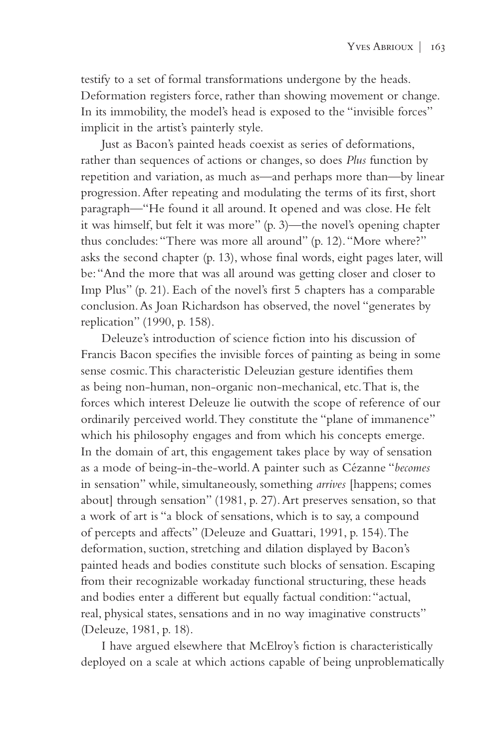testify to a set of formal transformations undergone by the heads. Deformation registers force, rather than showing movement or change. In its immobility, the model's head is exposed to the "invisible forces" implicit in the artist's painterly style.

Just as Bacon's painted heads coexist as series of deformations, rather than sequences of actions or changes, so does *Plus* function by repetition and variation, as much as—and perhaps more than—by linear progression. After repeating and modulating the terms of its first, short paragraph—"He found it all around. It opened and was close. He felt it was himself, but felt it was more" (p. 3)—the novel's opening chapter thus concludes: "There was more all around" (p. 12). "More where?" asks the second chapter (p. 13), whose final words, eight pages later, will be: "And the more that was all around was getting closer and closer to Imp Plus" (p. 21). Each of the novel's first 5 chapters has a comparable conclusion. As Joan Richardson has observed, the novel "generates by replication" (1990, p. 158).

Deleuze's introduction of science fiction into his discussion of Francis Bacon specifies the invisible forces of painting as being in some sense cosmic. This characteristic Deleuzian gesture identifies them as being non-human, non-organic non-mechanical, etc. That is, the forces which interest Deleuze lie outwith the scope of reference of our ordinarily perceived world. They constitute the "plane of immanence" which his philosophy engages and from which his concepts emerge. In the domain of art, this engagement takes place by way of sensation as a mode of being-in-the-world. A painter such as Cézanne "*becomes* in sensation" while, simultaneously, something *arrives* [happens; comes about] through sensation" (1981, p. 27). Art preserves sensation, so that a work of art is "a block of sensations, which is to say, a compound of percepts and affects" (Deleuze and Guattari, 1991, p. 154). The deformation, suction, stretching and dilation displayed by Bacon's painted heads and bodies constitute such blocks of sensation. Escaping from their recognizable workaday functional structuring, these heads and bodies enter a different but equally factual condition: "actual, real, physical states, sensations and in no way imaginative constructs" (Deleuze, 1981, p. 18).

I have argued elsewhere that McElroy's fiction is characteristically deployed on a scale at which actions capable of being unproblematically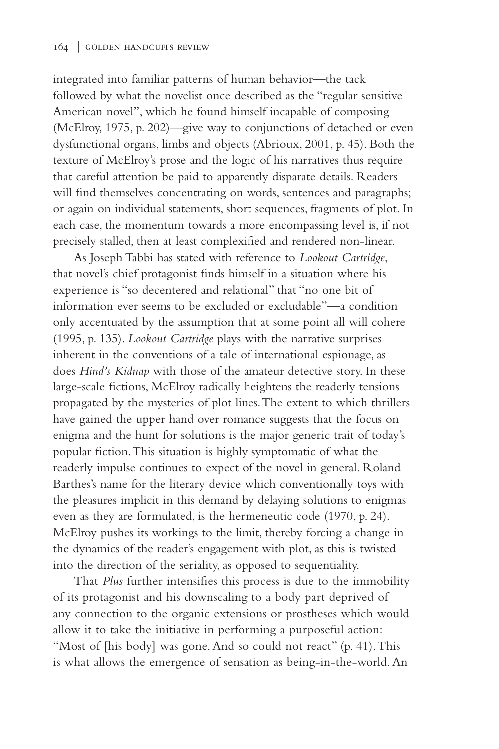integrated into familiar patterns of human behavior—the tack followed by what the novelist once described as the "regular sensitive American novel", which he found himself incapable of composing (McElroy, 1975, p. 202)—give way to conjunctions of detached or even dysfunctional organs, limbs and objects (Abrioux, 2001, p. 45). Both the texture of McElroy's prose and the logic of his narratives thus require that careful attention be paid to apparently disparate details. Readers will find themselves concentrating on words, sentences and paragraphs; or again on individual statements, short sequences, fragments of plot. In each case, the momentum towards a more encompassing level is, if not precisely stalled, then at least complexified and rendered non-linear.

As Joseph Tabbi has stated with reference to *Lookout Cartridge*, that novel's chief protagonist finds himself in a situation where his experience is "so decentered and relational" that "no one bit of information ever seems to be excluded or excludable"—a condition only accentuated by the assumption that at some point all will cohere (1995, p. 135). *Lookout Cartridge* plays with the narrative surprises inherent in the conventions of a tale of international espionage, as does *Hind's Kidnap* with those of the amateur detective story. In these large-scale fictions, McElroy radically heightens the readerly tensions propagated by the mysteries of plot lines. The extent to which thrillers have gained the upper hand over romance suggests that the focus on enigma and the hunt for solutions is the major generic trait of today's popular fiction. This situation is highly symptomatic of what the readerly impulse continues to expect of the novel in general. Roland Barthes's name for the literary device which conventionally toys with the pleasures implicit in this demand by delaying solutions to enigmas even as they are formulated, is the hermeneutic code (1970, p. 24). McElroy pushes its workings to the limit, thereby forcing a change in the dynamics of the reader's engagement with plot, as this is twisted into the direction of the seriality, as opposed to sequentiality.

That *Plus* further intensifies this process is due to the immobility of its protagonist and his downscaling to a body part deprived of any connection to the organic extensions or prostheses which would allow it to take the initiative in performing a purposeful action: "Most of [his body] was gone. And so could not react" (p. 41). This is what allows the emergence of sensation as being-in-the-world. An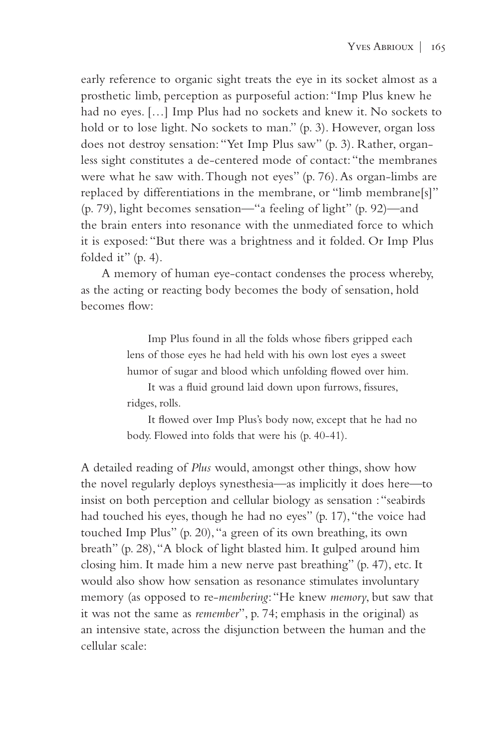early reference to organic sight treats the eye in its socket almost as a prosthetic limb, perception as purposeful action: "Imp Plus knew he had no eyes. […] Imp Plus had no sockets and knew it. No sockets to hold or to lose light. No sockets to man." (p. 3). However, organ loss does not destroy sensation: "Yet Imp Plus saw" (p. 3). Rather, organless sight constitutes a de-centered mode of contact: "the membranes were what he saw with. Though not eyes" (p. 76). As organ-limbs are replaced by differentiations in the membrane, or "limb membrane[s]" (p. 79), light becomes sensation—"a feeling of light" (p. 92)—and the brain enters into resonance with the unmediated force to which it is exposed: "But there was a brightness and it folded. Or Imp Plus folded it" (p. 4).

A memory of human eye-contact condenses the process whereby, as the acting or reacting body becomes the body of sensation, hold becomes flow:

> Imp Plus found in all the folds whose fibers gripped each lens of those eyes he had held with his own lost eyes a sweet humor of sugar and blood which unfolding flowed over him.

It was a fluid ground laid down upon furrows, fissures, ridges, rolls.

It flowed over Imp Plus's body now, except that he had no body. Flowed into folds that were his (p. 40-41).

A detailed reading of *Plus* would, amongst other things, show how the novel regularly deploys synesthesia—as implicitly it does here—to insist on both perception and cellular biology as sensation : "seabirds had touched his eyes, though he had no eyes" (p. 17), "the voice had touched Imp Plus" (p. 20), "a green of its own breathing, its own breath" (p. 28), "A block of light blasted him. It gulped around him closing him. It made him a new nerve past breathing" (p. 47), etc. It would also show how sensation as resonance stimulates involuntary memory (as opposed to re-*membering*: "He knew *memory*, but saw that it was not the same as *remember*", p. 74; emphasis in the original) as an intensive state, across the disjunction between the human and the cellular scale: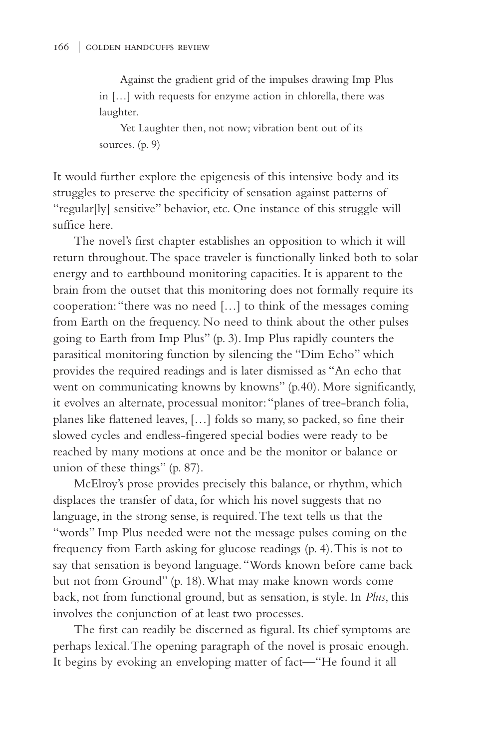Against the gradient grid of the impulses drawing Imp Plus in […] with requests for enzyme action in chlorella, there was laughter.

Yet Laughter then, not now; vibration bent out of its sources. (p. 9)

It would further explore the epigenesis of this intensive body and its struggles to preserve the specificity of sensation against patterns of "regular[ly] sensitive" behavior, etc. One instance of this struggle will suffice here.

The novel's first chapter establishes an opposition to which it will return throughout. The space traveler is functionally linked both to solar energy and to earthbound monitoring capacities. It is apparent to the brain from the outset that this monitoring does not formally require its cooperation: "there was no need […] to think of the messages coming from Earth on the frequency. No need to think about the other pulses going to Earth from Imp Plus" (p. 3). Imp Plus rapidly counters the parasitical monitoring function by silencing the "Dim Echo" which provides the required readings and is later dismissed as "An echo that went on communicating knowns by knowns" (p.40). More significantly, it evolves an alternate, processual monitor: "planes of tree-branch folia, planes like flattened leaves, […] folds so many, so packed, so fine their slowed cycles and endless-fingered special bodies were ready to be reached by many motions at once and be the monitor or balance or union of these things" (p. 87).

McElroy's prose provides precisely this balance, or rhythm, which displaces the transfer of data, for which his novel suggests that no language, in the strong sense, is required. The text tells us that the "words" Imp Plus needed were not the message pulses coming on the frequency from Earth asking for glucose readings (p. 4). This is not to say that sensation is beyond language. "Words known before came back but not from Ground" (p. 18). What may make known words come back, not from functional ground, but as sensation, is style. In *Plus*, this involves the conjunction of at least two processes.

The first can readily be discerned as figural. Its chief symptoms are perhaps lexical. The opening paragraph of the novel is prosaic enough. It begins by evoking an enveloping matter of fact—"He found it all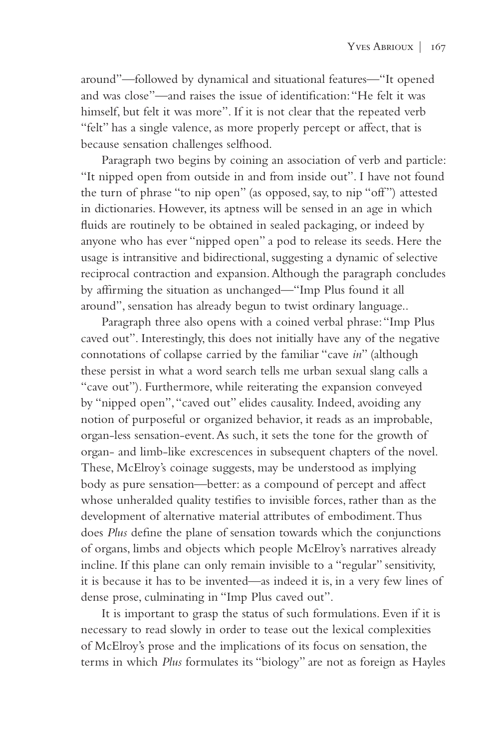around"—followed by dynamical and situational features—"It opened and was close"—and raises the issue of identification: "He felt it was himself, but felt it was more". If it is not clear that the repeated verb "felt" has a single valence, as more properly percept or affect, that is because sensation challenges selfhood.

Paragraph two begins by coining an association of verb and particle: "It nipped open from outside in and from inside out". I have not found the turn of phrase "to nip open" (as opposed, say, to nip "off") attested in dictionaries. However, its aptness will be sensed in an age in which fluids are routinely to be obtained in sealed packaging, or indeed by anyone who has ever "nipped open" a pod to release its seeds. Here the usage is intransitive and bidirectional, suggesting a dynamic of selective reciprocal contraction and expansion. Although the paragraph concludes by affirming the situation as unchanged—"Imp Plus found it all around", sensation has already begun to twist ordinary language..

Paragraph three also opens with a coined verbal phrase: "Imp Plus caved out". Interestingly, this does not initially have any of the negative connotations of collapse carried by the familiar "cave *in*" (although these persist in what a word search tells me urban sexual slang calls a "cave out"). Furthermore, while reiterating the expansion conveyed by "nipped open", "caved out" elides causality. Indeed, avoiding any notion of purposeful or organized behavior, it reads as an improbable, organ-less sensation-event. As such, it sets the tone for the growth of organ- and limb-like excrescences in subsequent chapters of the novel. These, McElroy's coinage suggests, may be understood as implying body as pure sensation—better: as a compound of percept and affect whose unheralded quality testifies to invisible forces, rather than as the development of alternative material attributes of embodiment. Thus does *Plus* define the plane of sensation towards which the conjunctions of organs, limbs and objects which people McElroy's narratives already incline. If this plane can only remain invisible to a "regular" sensitivity, it is because it has to be invented—as indeed it is, in a very few lines of dense prose, culminating in "Imp Plus caved out".

It is important to grasp the status of such formulations. Even if it is necessary to read slowly in order to tease out the lexical complexities of McElroy's prose and the implications of its focus on sensation, the terms in which *Plus* formulates its "biology" are not as foreign as Hayles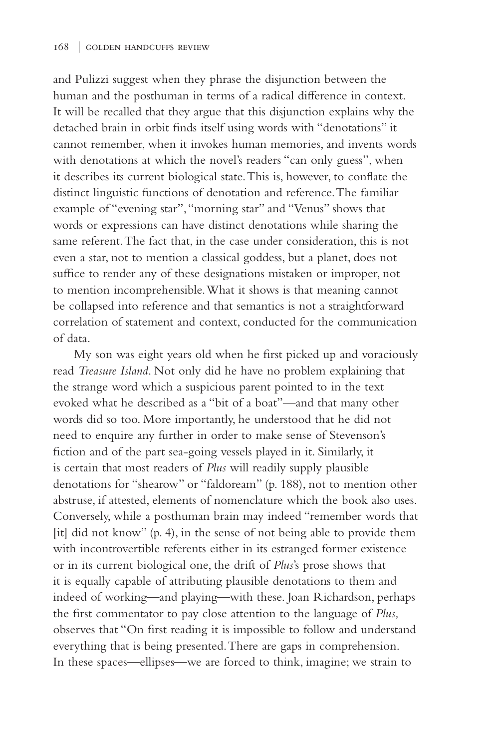and Pulizzi suggest when they phrase the disjunction between the human and the posthuman in terms of a radical difference in context. It will be recalled that they argue that this disjunction explains why the detached brain in orbit finds itself using words with "denotations" it cannot remember, when it invokes human memories, and invents words with denotations at which the novel's readers "can only guess", when it describes its current biological state. This is, however, to conflate the distinct linguistic functions of denotation and reference. The familiar example of "evening star", "morning star" and "Venus" shows that words or expressions can have distinct denotations while sharing the same referent. The fact that, in the case under consideration, this is not even a star, not to mention a classical goddess, but a planet, does not suffice to render any of these designations mistaken or improper, not to mention incomprehensible. What it shows is that meaning cannot be collapsed into reference and that semantics is not a straightforward correlation of statement and context, conducted for the communication of data.

My son was eight years old when he first picked up and voraciously read *Treasure Island*. Not only did he have no problem explaining that the strange word which a suspicious parent pointed to in the text evoked what he described as a "bit of a boat"—and that many other words did so too. More importantly, he understood that he did not need to enquire any further in order to make sense of Stevenson's fiction and of the part sea-going vessels played in it. Similarly, it is certain that most readers of *Plus* will readily supply plausible denotations for "shearow" or "faldoream" (p. 188), not to mention other abstruse, if attested, elements of nomenclature which the book also uses. Conversely, while a posthuman brain may indeed "remember words that [it] did not know" (p. 4), in the sense of not being able to provide them with incontrovertible referents either in its estranged former existence or in its current biological one, the drift of *Plus*'s prose shows that it is equally capable of attributing plausible denotations to them and indeed of working—and playing—with these. Joan Richardson, perhaps the first commentator to pay close attention to the language of *Plus,* observes that "On first reading it is impossible to follow and understand everything that is being presented. There are gaps in comprehension. In these spaces—ellipses—we are forced to think, imagine; we strain to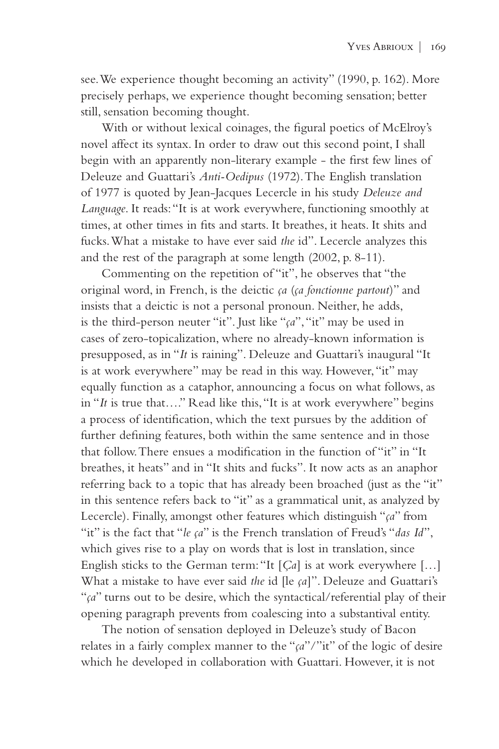see. We experience thought becoming an activity" (1990, p. 162). More precisely perhaps, we experience thought becoming sensation; better still, sensation becoming thought.

With or without lexical coinages, the figural poetics of McElroy's novel affect its syntax. In order to draw out this second point, I shall begin with an apparently non-literary example - the first few lines of Deleuze and Guattari's *Anti-Oedipus* (1972). The English translation of 1977 is quoted by Jean-Jacques Lecercle in his study *Deleuze and Language*. It reads: "It is at work everywhere, functioning smoothly at times, at other times in fits and starts. It breathes, it heats. It shits and fucks. What a mistake to have ever said *the* id". Lecercle analyzes this and the rest of the paragraph at some length (2002, p. 8-11).

Commenting on the repetition of "it", he observes that "the original word, in French, is the deictic *ça* (*ça fonctionne partout*)" and insists that a deictic is not a personal pronoun. Neither, he adds, is the third-person neuter "it". Just like "*ça*", "it" may be used in cases of zero-topicalization, where no already-known information is presupposed, as in "*It* is raining". Deleuze and Guattari's inaugural "It is at work everywhere" may be read in this way. However, "it" may equally function as a cataphor, announcing a focus on what follows, as in "*It* is true that…." Read like this, "It is at work everywhere" begins a process of identification, which the text pursues by the addition of further defining features, both within the same sentence and in those that follow. There ensues a modification in the function of "it" in "It breathes, it heats" and in "It shits and fucks". It now acts as an anaphor referring back to a topic that has already been broached (just as the "it" in this sentence refers back to "it" as a grammatical unit, as analyzed by Lecercle). Finally, amongst other features which distinguish "*ça*" from "it" is the fact that "*le ça*" is the French translation of Freud's "*das Id*", which gives rise to a play on words that is lost in translation, since English sticks to the German term: "It [*Ça*] is at work everywhere […] What a mistake to have ever said *the* id [le *ça*]". Deleuze and Guattari's "*ça*" turns out to be desire, which the syntactical/referential play of their opening paragraph prevents from coalescing into a substantival entity.

The notion of sensation deployed in Deleuze's study of Bacon relates in a fairly complex manner to the "*ça*"/"it" of the logic of desire which he developed in collaboration with Guattari. However, it is not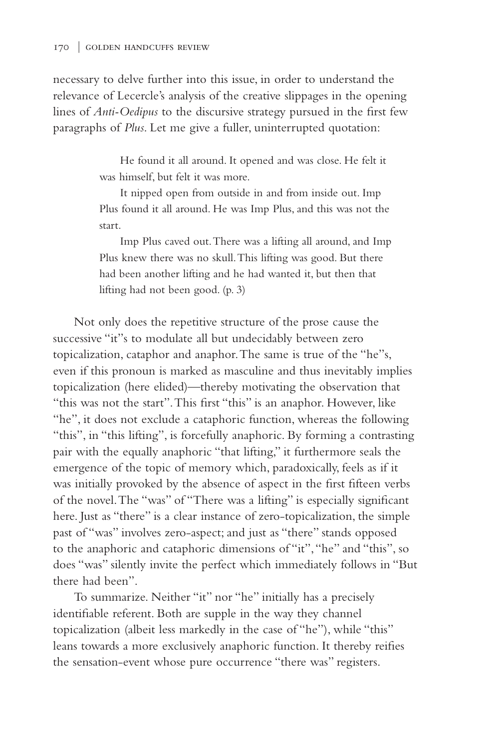necessary to delve further into this issue, in order to understand the relevance of Lecercle's analysis of the creative slippages in the opening lines of *Anti-Oedipus* to the discursive strategy pursued in the first few paragraphs of *Plus*. Let me give a fuller, uninterrupted quotation:

> He found it all around. It opened and was close. He felt it was himself, but felt it was more.

> It nipped open from outside in and from inside out. Imp Plus found it all around. He was Imp Plus, and this was not the start.

> Imp Plus caved out. There was a lifting all around, and Imp Plus knew there was no skull. This lifting was good. But there had been another lifting and he had wanted it, but then that lifting had not been good. (p. 3)

Not only does the repetitive structure of the prose cause the successive "it"s to modulate all but undecidably between zero topicalization, cataphor and anaphor. The same is true of the "he"s, even if this pronoun is marked as masculine and thus inevitably implies topicalization (here elided)—thereby motivating the observation that "this was not the start". This first "this" is an anaphor. However, like "he", it does not exclude a cataphoric function, whereas the following "this", in "this lifting", is forcefully anaphoric. By forming a contrasting pair with the equally anaphoric "that lifting," it furthermore seals the emergence of the topic of memory which, paradoxically, feels as if it was initially provoked by the absence of aspect in the first fifteen verbs of the novel. The "was" of "There was a lifting" is especially significant here. Just as "there" is a clear instance of zero-topicalization, the simple past of "was" involves zero-aspect; and just as "there" stands opposed to the anaphoric and cataphoric dimensions of "it", "he" and "this", so does "was" silently invite the perfect which immediately follows in "But there had been".

To summarize. Neither "it" nor "he" initially has a precisely identifiable referent. Both are supple in the way they channel topicalization (albeit less markedly in the case of "he"), while "this" leans towards a more exclusively anaphoric function. It thereby reifies the sensation-event whose pure occurrence "there was" registers.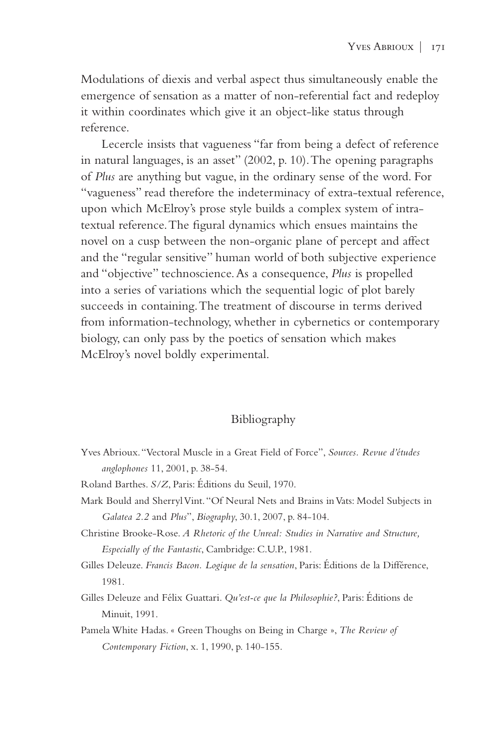Modulations of diexis and verbal aspect thus simultaneously enable the emergence of sensation as a matter of non-referential fact and redeploy it within coordinates which give it an object-like status through reference.

Lecercle insists that vagueness "far from being a defect of reference in natural languages, is an asset" (2002, p. 10). The opening paragraphs of *Plus* are anything but vague, in the ordinary sense of the word. For "vagueness" read therefore the indeterminacy of extra-textual reference, upon which McElroy's prose style builds a complex system of intratextual reference. The figural dynamics which ensues maintains the novel on a cusp between the non-organic plane of percept and affect and the "regular sensitive" human world of both subjective experience and "objective" technoscience. As a consequence, *Plus* is propelled into a series of variations which the sequential logic of plot barely succeeds in containing. The treatment of discourse in terms derived from information-technology, whether in cybernetics or contemporary biology, can only pass by the poetics of sensation which makes McElroy's novel boldly experimental.

## Bibliography

- Yves Abrioux. "Vectoral Muscle in a Great Field of Force", *Sources. Revue d'études anglophones* 11, 2001, p. 38-54.
- Roland Barthes. *S/Z*, Paris: Éditions du Seuil, 1970.
- Mark Bould and Sherryl Vint. "Of Neural Nets and Brains in Vats: Model Subjects in *Galatea 2.2* and *Plus*", *Biography*, 30.1, 2007, p. 84-104.
- Christine Brooke-Rose. *A Rhetoric of the Unreal: Studies in Narrative and Structure, Especially of the Fantastic*, Cambridge: C.U.P., 1981.
- Gilles Deleuze. *Francis Bacon. Logique de la sensation*, Paris: Éditions de la Différence, 1981.
- Gilles Deleuze and Félix Guattari. *Qu'est-ce que la Philosophie?*, Paris: Éditions de Minuit, 1991.
- Pamela White Hadas. « Green Thoughs on Being in Charge », *The Review of Contemporary Fiction*, x. 1, 1990, p. 140-155.